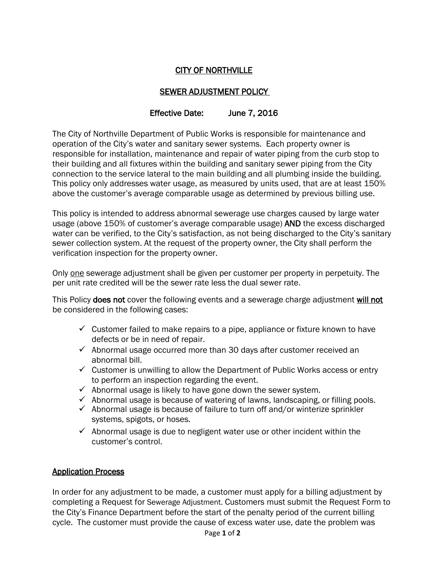# CITY OF NORTHVILLE

## SEWER ADJUSTMENT POLICY

## Effective Date: June 7, 2016

The City of Northville Department of Public Works is responsible for maintenance and operation of the City's water and sanitary sewer systems. Each property owner is responsible for installation, maintenance and repair of water piping from the curb stop to their building and all fixtures within the building and sanitary sewer piping from the City connection to the service lateral to the main building and all plumbing inside the building. This policy only addresses water usage, as measured by units used, that are at least 150% above the customer's average comparable usage as determined by previous billing use.

This policy is intended to address abnormal sewerage use charges caused by large water usage (above 150% of customer's average comparable usage) AND the excess discharged water can be verified, to the City's satisfaction, as not being discharged to the City's sanitary sewer collection system. At the request of the property owner, the City shall perform the verification inspection for the property owner.

Only one sewerage adjustment shall be given per customer per property in perpetuity. The per unit rate credited will be the sewer rate less the dual sewer rate.

This Policy does not cover the following events and a sewerage charge adjustment will not be considered in the following cases:

- $\checkmark$  Customer failed to make repairs to a pipe, appliance or fixture known to have defects or be in need of repair.
- $\checkmark$  Abnormal usage occurred more than 30 days after customer received an abnormal bill.
- $\checkmark$  Customer is unwilling to allow the Department of Public Works access or entry to perform an inspection regarding the event.
- $\checkmark$  Abnormal usage is likely to have gone down the sewer system.
- $\checkmark$  Abnormal usage is because of watering of lawns, landscaping, or filling pools.
- $\checkmark$  Abnormal usage is because of failure to turn off and/or winterize sprinkler systems, spigots, or hoses.
- $\checkmark$  Abnormal usage is due to negligent water use or other incident within the customer's control.

#### Application Process

In order for any adjustment to be made, a customer must apply for a billing adjustment by completing a Request for Sewerage Adjustment. Customers must submit the Request Form to the City's Finance Department before the start of the penalty period of the current billing cycle. The customer must provide the cause of excess water use, date the problem was